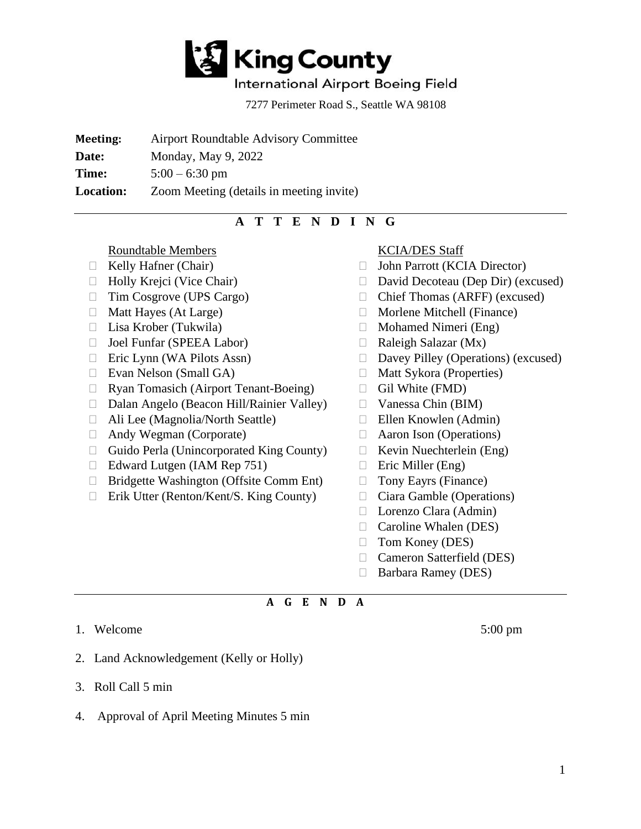

## International Airport Boeing Field

7277 Perimeter Road S., Seattle WA 98108

**Meeting:** Airport Roundtable Advisory Committee

**Date:** Monday, May 9, 2022

**Time:**  $5:00 - 6:30 \text{ pm}$ 

**Location:** Zoom Meeting (details in meeting invite)

# **A T T E N D I N G**

Roundtable Members

- $\Box$  Kelly Hafner (Chair)
- 
- □ Tim Cosgrove (UPS Cargo)
- $\Box$  Matt Hayes (At Large)
- 
- □ Joel Funfar (SPEEA Labor)
- $\Box$  Eric Lynn (WA Pilots Assn)
- $\Box$  Evan Nelson (Small GA)
- Ryan Tomasich (Airport Tenant-Boeing)
- Dalan Angelo (Beacon Hill/Rainier Valley)
- Ali Lee (Magnolia/North Seattle)
- Andy Wegman (Corporate)
- $\Box$  Guido Perla (Unincorporated King County)
- $\Box$  Edward Lutgen (IAM Rep 751)
- □ Bridgette Washington (Offsite Comm Ent)
- □ Erik Utter (Renton/Kent/S. King County)

### KCIA/DES Staff

- John Parrott (KCIA Director)
- □ Holly Krejci (Vice Chair) □ David Decoteau (Dep Dir) (excused)
	- Chief Thomas (ARFF) (excused)
	- $\Box$  Morlene Mitchell (Finance)
- $\Box$  Lisa Krober (Tukwila)  $\Box$  Mohamed Nimeri (Eng)
	- $\Box$  Raleigh Salazar (Mx)
	- $\Box$  Davey Pilley (Operations) (excused)
	- □ Matt Sykora (Properties)
	- $\Box$  Gil White (FMD)
	- $\Box$  Vanessa Chin (BIM)
	- Ellen Knowlen (Admin)
	- Aaron Ison (Operations)
	- $\Box$  Kevin Nuechterlein (Eng)
	- $\Box$  Eric Miller (Eng)
	- □ Tony Eayrs (Finance)
	- □ Ciara Gamble (Operations)
	- □ Lorenzo Clara (Admin)
	- □ Caroline Whalen (DES)
	- $\Box$  Tom Koney (DES)
	- Cameron Satterfield (DES)
	- □ Barbara Ramey (DES)

#### **A G E N D A**

- 1. Welcome 5:00 pm
- 2. Land Acknowledgement (Kelly or Holly)
- 3. Roll Call 5 min
- 4. Approval of April Meeting Minutes 5 min